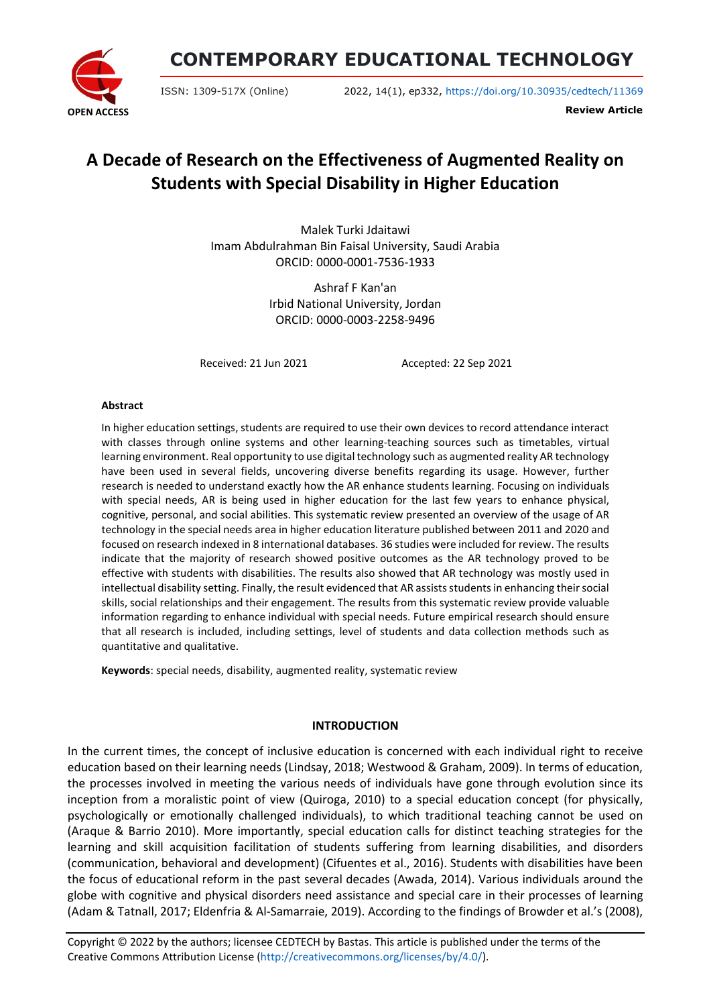

**CONTEMPORARY EDUCATIONAL TECHNOLOGY**

ISSN: 1309-517X (Online) 2022, 14(1), ep332, <https://doi.org/10.30935/cedtech/11369>

**Review Article**

# **A Decade of Research on the Effectiveness of Augmented Reality on Students with Special Disability in Higher Education**

Malek Turki Jdaitawi Imam Abdulrahman Bin Faisal University, Saudi Arabia ORCID: 0000-0001-7536-1933

> Ashraf F Kan'an Irbid National University, Jordan ORCID: 0000-0003-2258-9496

Received: 21 Jun 2021 Accepted: 22 Sep 2021

#### **Abstract**

In higher education settings, students are required to use their own devices to record attendance interact with classes through online systems and other learning-teaching sources such as timetables, virtual learning environment. Real opportunity to use digital technology such as augmented reality AR technology have been used in several fields, uncovering diverse benefits regarding its usage. However, further research is needed to understand exactly how the AR enhance students learning. Focusing on individuals with special needs, AR is being used in higher education for the last few years to enhance physical, cognitive, personal, and social abilities. This systematic review presented an overview of the usage of AR technology in the special needs area in higher education literature published between 2011 and 2020 and focused on research indexed in 8 international databases. 36 studies were included for review. The results indicate that the majority of research showed positive outcomes as the AR technology proved to be effective with students with disabilities. The results also showed that AR technology was mostly used in intellectual disability setting. Finally, the result evidenced that AR assists students in enhancing their social skills, social relationships and their engagement. The results from this systematic review provide valuable information regarding to enhance individual with special needs. Future empirical research should ensure that all research is included, including settings, level of students and data collection methods such as quantitative and qualitative.

**Keywords**: special needs, disability, augmented reality, systematic review

#### **INTRODUCTION**

In the current times, the concept of inclusive education is concerned with each individual right to receive education based on their learning needs (Lindsay, 2018; Westwood & Graham, 2009). In terms of education, the processes involved in meeting the various needs of individuals have gone through evolution since its inception from a moralistic point of view (Quiroga, 2010) to a special education concept (for physically, psychologically or emotionally challenged individuals), to which traditional teaching cannot be used on (Araque & Barrio 2010). More importantly, special education calls for distinct teaching strategies for the learning and skill acquisition facilitation of students suffering from learning disabilities, and disorders (communication, behavioral and development) (Cifuentes et al., 2016). Students with disabilities have been the focus of educational reform in the past several decades (Awada, 2014). Various individuals around the globe with cognitive and physical disorders need assistance and special care in their processes of learning (Adam & Tatnall, 2017; Eldenfria & Al-Samarraie, 2019). According to the findings of Browder et al.'s (2008),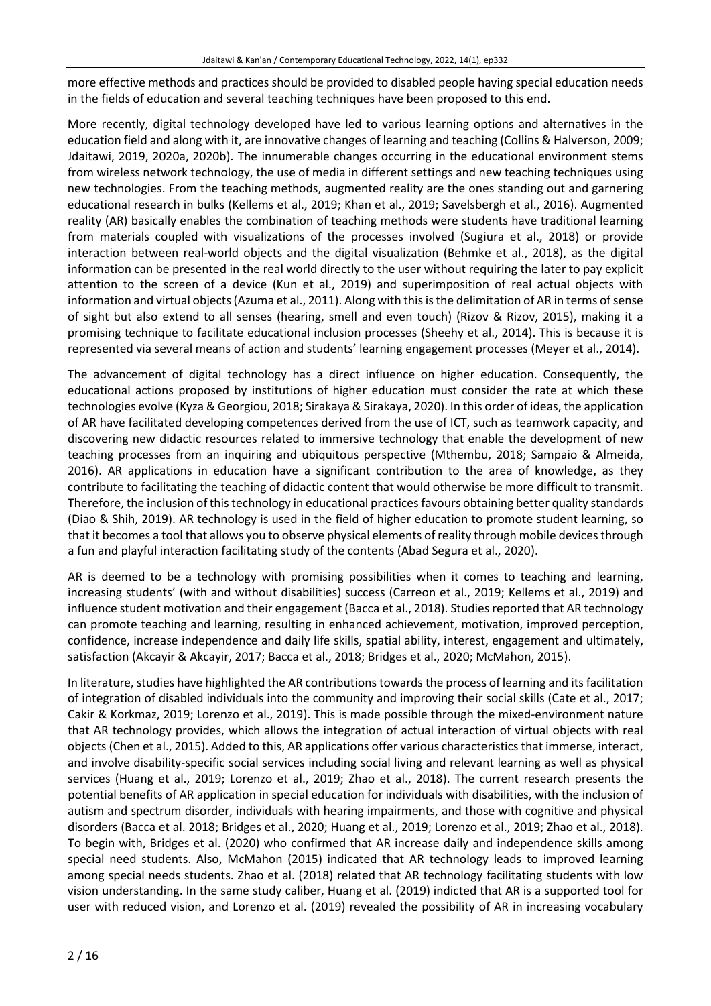more effective methods and practices should be provided to disabled people having special education needs in the fields of education and several teaching techniques have been proposed to this end.

More recently, digital technology developed have led to various learning options and alternatives in the education field and along with it, are innovative changes of learning and teaching (Collins & Halverson, 2009; Jdaitawi, 2019, 2020a, 2020b). The innumerable changes occurring in the educational environment stems from wireless network technology, the use of media in different settings and new teaching techniques using new technologies. From the teaching methods, augmented reality are the ones standing out and garnering educational research in bulks (Kellems et al., 2019; Khan et al., 2019; Savelsbergh et al., 2016). Augmented reality (AR) basically enables the combination of teaching methods were students have traditional learning from materials coupled with visualizations of the processes involved (Sugiura et al., 2018) or provide interaction between real-world objects and the digital visualization (Behmke et al., 2018), as the digital information can be presented in the real world directly to the user without requiring the later to pay explicit attention to the screen of a device (Kun et al., 2019) and superimposition of real actual objects with information and virtual objects (Azuma et al., 2011). Along with this is the delimitation of AR in terms of sense of sight but also extend to all senses (hearing, smell and even touch) (Rizov & Rizov, 2015), making it a promising technique to facilitate educational inclusion processes (Sheehy et al., 2014). This is because it is represented via several means of action and students' learning engagement processes (Meyer et al., 2014).

The advancement of digital technology has a direct influence on higher education. Consequently, the educational actions proposed by institutions of higher education must consider the rate at which these technologies evolve (Kyza & Georgiou, 2018; Sirakaya & Sirakaya, 2020). In this order of ideas, the application of AR have facilitated developing competences derived from the use of ICT, such as teamwork capacity, and discovering new didactic resources related to immersive technology that enable the development of new teaching processes from an inquiring and ubiquitous perspective (Mthembu, 2018; Sampaio & Almeida, 2016). AR applications in education have a significant contribution to the area of knowledge, as they contribute to facilitating the teaching of didactic content that would otherwise be more difficult to transmit. Therefore, the inclusion of this technology in educational practices favours obtaining better quality standards (Diao & Shih, 2019). AR technology is used in the field of higher education to promote student learning, so that it becomes a tool that allows you to observe physical elements of reality through mobile devices through a fun and playful interaction facilitating study of the contents (Abad Segura et al., 2020).

AR is deemed to be a technology with promising possibilities when it comes to teaching and learning, increasing students' (with and without disabilities) success (Carreon et al., 2019; Kellems et al., 2019) and influence student motivation and their engagement (Bacca et al., 2018). Studiesreported that AR technology can promote teaching and learning, resulting in enhanced achievement, motivation, improved perception, confidence, increase independence and daily life skills, spatial ability, interest, engagement and ultimately, satisfaction (Akcayir & Akcayir, 2017; Bacca et al., 2018; Bridges et al., 2020; McMahon, 2015).

In literature, studies have highlighted the AR contributions towards the process of learning and its facilitation of integration of disabled individuals into the community and improving their social skills (Cate et al., 2017; Cakir & Korkmaz, 2019; Lorenzo et al., 2019). This is made possible through the mixed-environment nature that AR technology provides, which allows the integration of actual interaction of virtual objects with real objects (Chen et al., 2015). Added to this, AR applications offer various characteristics that immerse, interact, and involve disability-specific social services including social living and relevant learning as well as physical services (Huang et al., 2019; Lorenzo et al., 2019; Zhao et al., 2018). The current research presents the potential benefits of AR application in special education for individuals with disabilities, with the inclusion of autism and spectrum disorder, individuals with hearing impairments, and those with cognitive and physical disorders (Bacca et al. 2018; Bridges et al., 2020; Huang et al., 2019; Lorenzo et al., 2019; Zhao et al., 2018). To begin with, Bridges et al. (2020) who confirmed that AR increase daily and independence skills among special need students. Also, McMahon (2015) indicated that AR technology leads to improved learning among special needs students. Zhao et al. (2018) related that AR technology facilitating students with low vision understanding. In the same study caliber, Huang et al. (2019) indicted that AR is a supported tool for user with reduced vision, and Lorenzo et al. (2019) revealed the possibility of AR in increasing vocabulary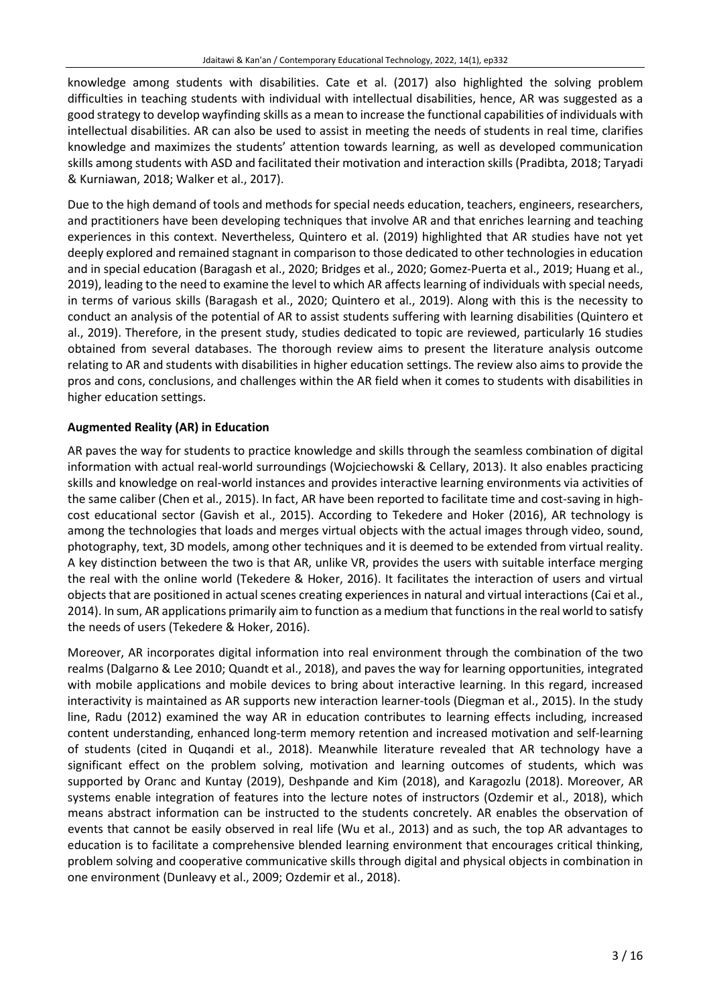knowledge among students with disabilities. Cate et al. (2017) also highlighted the solving problem difficulties in teaching students with individual with intellectual disabilities, hence, AR was suggested as a good strategy to develop wayfinding skills as a mean to increase the functional capabilities of individuals with intellectual disabilities. AR can also be used to assist in meeting the needs of students in real time, clarifies knowledge and maximizes the students' attention towards learning, as well as developed communication skills among students with ASD and facilitated their motivation and interaction skills (Pradibta, 2018; Taryadi & Kurniawan, 2018; Walker et al., 2017).

Due to the high demand of tools and methods for special needs education, teachers, engineers, researchers, and practitioners have been developing techniques that involve AR and that enriches learning and teaching experiences in this context. Nevertheless, Quintero et al. (2019) highlighted that AR studies have not yet deeply explored and remained stagnant in comparison to those dedicated to other technologies in education and in special education (Baragash et al., 2020; Bridges et al., 2020; Gomez-Puerta et al., 2019; Huang et al., 2019), leading to the need to examine the level to which AR affects learning of individuals with special needs, in terms of various skills (Baragash et al., 2020; Quintero et al., 2019). Along with this is the necessity to conduct an analysis of the potential of AR to assist students suffering with learning disabilities (Quintero et al., 2019). Therefore, in the present study, studies dedicated to topic are reviewed, particularly 16 studies obtained from several databases. The thorough review aims to present the literature analysis outcome relating to AR and students with disabilities in higher education settings. The review also aims to provide the pros and cons, conclusions, and challenges within the AR field when it comes to students with disabilities in higher education settings.

# **Augmented Reality (AR) in Education**

AR paves the way for students to practice knowledge and skills through the seamless combination of digital information with actual real-world surroundings (Wojciechowski & Cellary, 2013). It also enables practicing skills and knowledge on real-world instances and provides interactive learning environments via activities of the same caliber (Chen et al., 2015). In fact, AR have been reported to facilitate time and cost-saving in highcost educational sector (Gavish et al., 2015). According to Tekedere and Hoker (2016), AR technology is among the technologies that loads and merges virtual objects with the actual images through video, sound, photography, text, 3D models, among other techniques and it is deemed to be extended from virtual reality. A key distinction between the two is that AR, unlike VR, provides the users with suitable interface merging the real with the online world (Tekedere & Hoker, 2016). It facilitates the interaction of users and virtual objects that are positioned in actual scenes creating experiences in natural and virtual interactions (Cai et al., 2014). In sum, AR applications primarily aim to function as a medium that functionsin the real world to satisfy the needs of users (Tekedere & Hoker, 2016).

Moreover, AR incorporates digital information into real environment through the combination of the two realms (Dalgarno & Lee 2010; Quandt et al., 2018), and paves the way for learning opportunities, integrated with mobile applications and mobile devices to bring about interactive learning. In this regard, increased interactivity is maintained as AR supports new interaction learner-tools (Diegman et al., 2015). In the study line, Radu (2012) examined the way AR in education contributes to learning effects including, increased content understanding, enhanced long-term memory retention and increased motivation and self-learning of students (cited in Quqandi et al., 2018). Meanwhile literature revealed that AR technology have a significant effect on the problem solving, motivation and learning outcomes of students, which was supported by Oranc and Kuntay (2019), Deshpande and Kim (2018), and Karagozlu (2018). Moreover, AR systems enable integration of features into the lecture notes of instructors (Ozdemir et al., 2018), which means abstract information can be instructed to the students concretely. AR enables the observation of events that cannot be easily observed in real life (Wu et al., 2013) and as such, the top AR advantages to education is to facilitate a comprehensive blended learning environment that encourages critical thinking, problem solving and cooperative communicative skills through digital and physical objects in combination in one environment (Dunleavy et al., 2009; Ozdemir et al., 2018).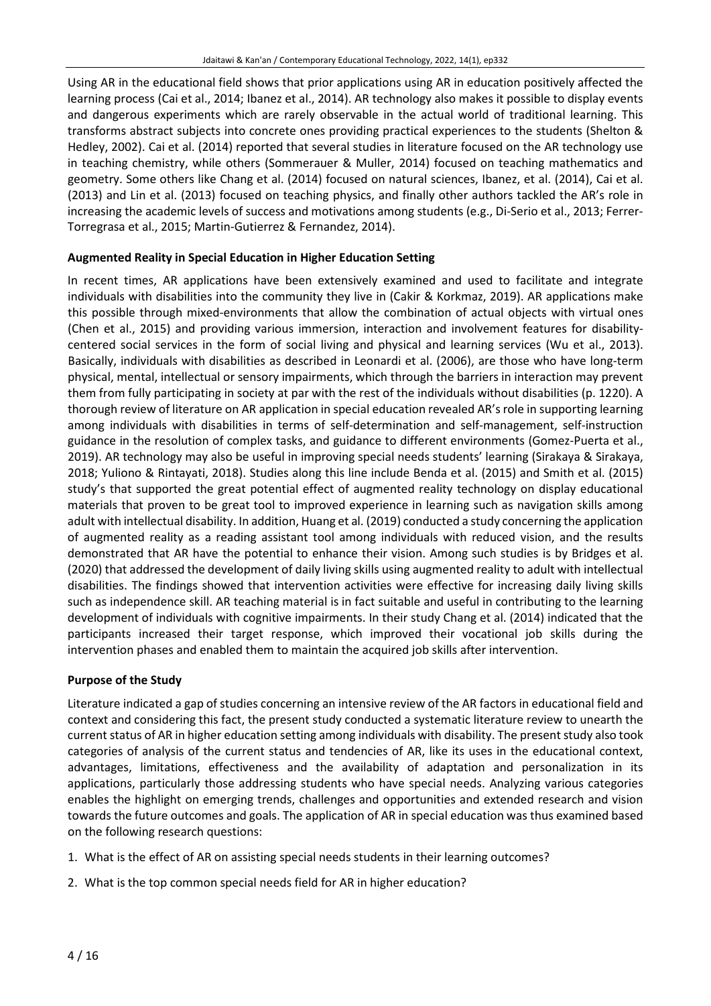Using AR in the educational field shows that prior applications using AR in education positively affected the learning process (Cai et al., 2014; Ibanez et al., 2014). AR technology also makes it possible to display events and dangerous experiments which are rarely observable in the actual world of traditional learning. This transforms abstract subjects into concrete ones providing practical experiences to the students (Shelton & Hedley, 2002). Cai et al. (2014) reported that several studies in literature focused on the AR technology use in teaching chemistry, while others (Sommerauer & Muller, 2014) focused on teaching mathematics and geometry. Some others like Chang et al. (2014) focused on natural sciences, Ibanez, et al. (2014), Cai et al. (2013) and Lin et al. (2013) focused on teaching physics, and finally other authors tackled the AR's role in increasing the academic levels of success and motivations among students (e.g., Di-Serio et al., 2013; Ferrer-Torregrasa et al., 2015; Martin-Gutierrez & Fernandez, 2014).

# **Augmented Reality in Special Education in Higher Education Setting**

In recent times, AR applications have been extensively examined and used to facilitate and integrate individuals with disabilities into the community they live in (Cakir & Korkmaz, 2019). AR applications make this possible through mixed-environments that allow the combination of actual objects with virtual ones (Chen et al., 2015) and providing various immersion, interaction and involvement features for disabilitycentered social services in the form of social living and physical and learning services (Wu et al., 2013). Basically, individuals with disabilities as described in Leonardi et al. (2006), are those who have long-term physical, mental, intellectual or sensory impairments, which through the barriers in interaction may prevent them from fully participating in society at par with the rest of the individuals without disabilities (p. 1220). A thorough review of literature on AR application in special education revealed AR'srole in supporting learning among individuals with disabilities in terms of self-determination and self-management, self-instruction guidance in the resolution of complex tasks, and guidance to different environments (Gomez-Puerta et al., 2019). AR technology may also be useful in improving special needs students' learning (Sirakaya & Sirakaya, 2018; Yuliono & Rintayati, 2018). Studies along this line include Benda et al. (2015) and Smith et al. (2015) study's that supported the great potential effect of augmented reality technology on display educational materials that proven to be great tool to improved experience in learning such as navigation skills among adult with intellectual disability. In addition, Huang et al. (2019) conducted a study concerning the application of augmented reality as a reading assistant tool among individuals with reduced vision, and the results demonstrated that AR have the potential to enhance their vision. Among such studies is by Bridges et al. (2020) that addressed the development of daily living skills using augmented reality to adult with intellectual disabilities. The findings showed that intervention activities were effective for increasing daily living skills such as independence skill. AR teaching material is in fact suitable and useful in contributing to the learning development of individuals with cognitive impairments. In their study Chang et al. (2014) indicated that the participants increased their target response, which improved their vocational job skills during the intervention phases and enabled them to maintain the acquired job skills after intervention.

# **Purpose of the Study**

Literature indicated a gap of studies concerning an intensive review of the AR factors in educational field and context and considering this fact, the present study conducted a systematic literature review to unearth the current status of AR in higher education setting among individuals with disability. The present study also took categories of analysis of the current status and tendencies of AR, like its uses in the educational context, advantages, limitations, effectiveness and the availability of adaptation and personalization in its applications, particularly those addressing students who have special needs. Analyzing various categories enables the highlight on emerging trends, challenges and opportunities and extended research and vision towards the future outcomes and goals. The application of AR in special education was thus examined based on the following research questions:

- 1. What is the effect of AR on assisting special needs students in their learning outcomes?
- 2. What is the top common special needs field for AR in higher education?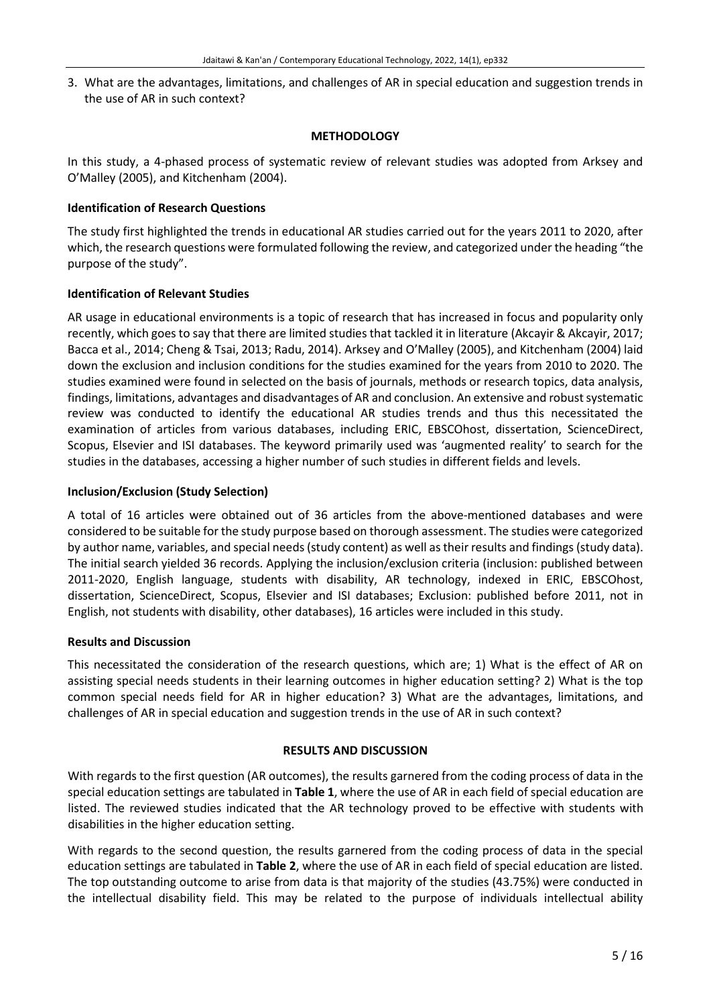3. What are the advantages, limitations, and challenges of AR in special education and suggestion trends in the use of AR in such context?

#### **METHODOLOGY**

In this study, a 4-phased process of systematic review of relevant studies was adopted from Arksey and O'Malley (2005), and Kitchenham (2004).

#### **Identification of Research Questions**

The study first highlighted the trends in educational AR studies carried out for the years 2011 to 2020, after which, the research questions were formulated following the review, and categorized under the heading "the purpose of the study".

#### **Identification of Relevant Studies**

AR usage in educational environments is a topic of research that has increased in focus and popularity only recently, which goes to say that there are limited studies that tackled it in literature (Akcayir & Akcayir, 2017; Bacca et al., 2014; Cheng & Tsai, 2013; Radu, 2014). Arksey and O'Malley (2005), and Kitchenham (2004) laid down the exclusion and inclusion conditions for the studies examined for the years from 2010 to 2020. The studies examined were found in selected on the basis of journals, methods or research topics, data analysis, findings, limitations, advantages and disadvantages of AR and conclusion. An extensive and robust systematic review was conducted to identify the educational AR studies trends and thus this necessitated the examination of articles from various databases, including ERIC, EBSCOhost, dissertation, ScienceDirect, Scopus, Elsevier and ISI databases. The keyword primarily used was 'augmented reality' to search for the studies in the databases, accessing a higher number of such studies in different fields and levels.

#### **Inclusion/Exclusion (Study Selection)**

A total of 16 articles were obtained out of 36 articles from the above-mentioned databases and were considered to be suitable for the study purpose based on thorough assessment. The studies were categorized by author name, variables, and special needs (study content) as well as their results and findings (study data). The initial search yielded 36 records. Applying the inclusion/exclusion criteria (inclusion: published between 2011-2020, English language, students with disability, AR technology, indexed in ERIC, EBSCOhost, dissertation, ScienceDirect, Scopus, Elsevier and ISI databases; Exclusion: published before 2011, not in English, not students with disability, other databases), 16 articles were included in this study.

### **Results and Discussion**

This necessitated the consideration of the research questions, which are; 1) What is the effect of AR on assisting special needs students in their learning outcomes in higher education setting? 2) What is the top common special needs field for AR in higher education? 3) What are the advantages, limitations, and challenges of AR in special education and suggestion trends in the use of AR in such context?

### **RESULTS AND DISCUSSION**

With regards to the first question (AR outcomes), the results garnered from the coding process of data in the special education settings are tabulated in **Table 1**, where the use of AR in each field of special education are listed. The reviewed studies indicated that the AR technology proved to be effective with students with disabilities in the higher education setting.

With regards to the second question, the results garnered from the coding process of data in the special education settings are tabulated in **Table 2**, where the use of AR in each field of special education are listed. The top outstanding outcome to arise from data is that majority of the studies (43.75%) were conducted in the intellectual disability field. This may be related to the purpose of individuals intellectual ability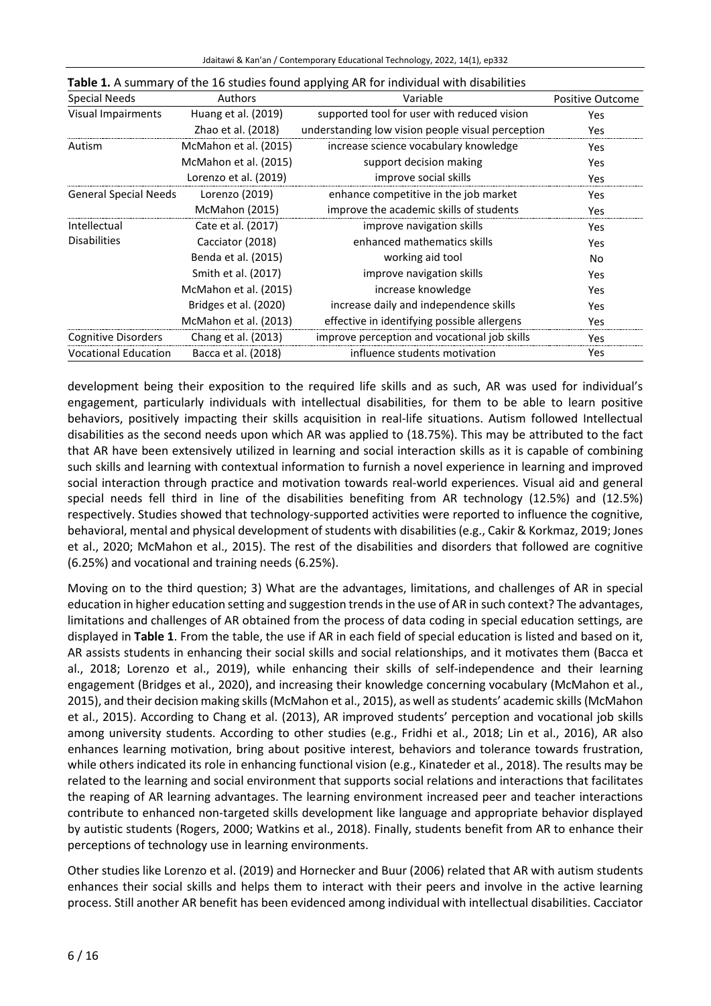| Jdaitawi & Kan'an / Contemporary Educational Technology, 2022, 14(1), ep332 |  |
|-----------------------------------------------------------------------------|--|
|                                                                             |  |

| Special Needs                | <b>Authors</b>        | Variable                                          | Positive Outcome |
|------------------------------|-----------------------|---------------------------------------------------|------------------|
| Visual Impairments           | Huang et al. (2019)   | supported tool for user with reduced vision       | <b>Yes</b>       |
|                              | Zhao et al. (2018)    | understanding low vision people visual perception | Yes              |
| Autism                       | McMahon et al. (2015) | increase science vocabulary knowledge             | Yes              |
|                              | McMahon et al. (2015) | support decision making                           | Yes              |
|                              | Lorenzo et al. (2019) | improve social skills                             | Yes              |
| <b>General Special Needs</b> | Lorenzo (2019)        | enhance competitive in the job market             | <b>Yes</b>       |
|                              | McMahon (2015)        | improve the academic skills of students           | Yes              |
| Intellectual                 | Cate et al. (2017)    | improve navigation skills                         | Yes              |
| <b>Disabilities</b>          | Cacciator (2018)      | enhanced mathematics skills                       | Yes              |
|                              | Benda et al. (2015)   | working aid tool                                  | No               |
|                              | Smith et al. (2017)   | improve navigation skills                         | Yes              |
|                              | McMahon et al. (2015) | increase knowledge                                | Yes              |
|                              | Bridges et al. (2020) | increase daily and independence skills            | Yes              |
|                              | McMahon et al. (2013) | effective in identifying possible allergens       | Yes              |
| <b>Cognitive Disorders</b>   | Chang et al. (2013)   | improve perception and vocational job skills      | Yes              |
| <b>Vocational Education</b>  | Bacca et al. (2018)   | influence students motivation                     | Yes              |

development being their exposition to the required life skills and as such, AR was used for individual's engagement, particularly individuals with intellectual disabilities, for them to be able to learn positive behaviors, positively impacting their skills acquisition in real-life situations. Autism followed Intellectual disabilities as the second needs upon which AR was applied to (18.75%). This may be attributed to the fact that AR have been extensively utilized in learning and social interaction skills as it is capable of combining such skills and learning with contextual information to furnish a novel experience in learning and improved social interaction through practice and motivation towards real-world experiences. Visual aid and general special needs fell third in line of the disabilities benefiting from AR technology (12.5%) and (12.5%) respectively. Studies showed that technology-supported activities were reported to influence the cognitive, behavioral, mental and physical development of students with disabilities (e.g., Cakir & Korkmaz, 2019; Jones et al., 2020; McMahon et al., 2015). The rest of the disabilities and disorders that followed are cognitive (6.25%) and vocational and training needs (6.25%).

Moving on to the third question; 3) What are the advantages, limitations, and challenges of AR in special education in higher education setting and suggestion trends in the use of AR in such context? The advantages, limitations and challenges of AR obtained from the process of data coding in special education settings, are displayed in **Table 1**. From the table, the use if AR in each field of special education is listed and based on it, AR assists students in enhancing their social skills and social relationships, and it motivates them (Bacca et al., 2018; Lorenzo et al., 2019), while enhancing their skills of self-independence and their learning engagement (Bridges et al., 2020), and increasing their knowledge concerning vocabulary (McMahon et al., 2015), and their decision making skills (McMahon et al., 2015), as well as students' academic skills (McMahon et al., 2015). According to Chang et al. (2013), AR improved students' perception and vocational job skills among university students. According to other studies (e.g., Fridhi et al., 2018; Lin et al., 2016), AR also enhances learning motivation, bring about positive interest, behaviors and tolerance towards frustration, while others indicated its role in enhancing functional vision (e.g., Kinateder et al., 2018). The results may be related to the learning and social environment that supports social relations and interactions that facilitates the reaping of AR learning advantages. The learning environment increased peer and teacher interactions contribute to enhanced non-targeted skills development like language and appropriate behavior displayed by autistic students (Rogers, 2000; Watkins et al., 2018). Finally, students benefit from AR to enhance their perceptions of technology use in learning environments.

Other studies like Lorenzo et al. (2019) and Hornecker and Buur (2006) related that AR with autism students enhances their social skills and helps them to interact with their peers and involve in the active learning process. Still another AR benefit has been evidenced among individual with intellectual disabilities. Cacciator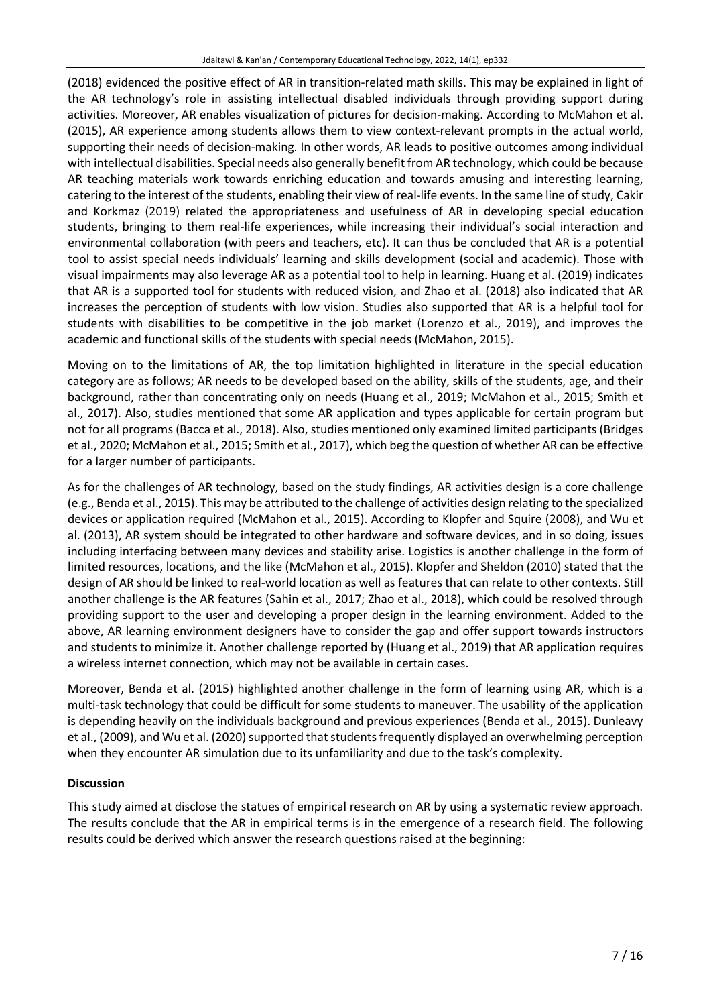(2018) evidenced the positive effect of AR in transition-related math skills. This may be explained in light of the AR technology's role in assisting intellectual disabled individuals through providing support during activities. Moreover, AR enables visualization of pictures for decision-making. According to McMahon et al. (2015), AR experience among students allows them to view context-relevant prompts in the actual world, supporting their needs of decision-making. In other words, AR leads to positive outcomes among individual with intellectual disabilities. Special needs also generally benefit from AR technology, which could be because AR teaching materials work towards enriching education and towards amusing and interesting learning, catering to the interest of the students, enabling their view of real-life events. In the same line of study, Cakir and Korkmaz (2019) related the appropriateness and usefulness of AR in developing special education students, bringing to them real-life experiences, while increasing their individual's social interaction and environmental collaboration (with peers and teachers, etc). It can thus be concluded that AR is a potential tool to assist special needs individuals' learning and skills development (social and academic). Those with visual impairments may also leverage AR as a potential tool to help in learning. Huang et al. (2019) indicates that AR is a supported tool for students with reduced vision, and Zhao et al. (2018) also indicated that AR increases the perception of students with low vision. Studies also supported that AR is a helpful tool for students with disabilities to be competitive in the job market (Lorenzo et al., 2019), and improves the academic and functional skills of the students with special needs (McMahon, 2015).

Moving on to the limitations of AR, the top limitation highlighted in literature in the special education category are as follows; AR needs to be developed based on the ability, skills of the students, age, and their background, rather than concentrating only on needs (Huang et al., 2019; McMahon et al., 2015; Smith et al., 2017). Also, studies mentioned that some AR application and types applicable for certain program but not for all programs (Bacca et al., 2018). Also, studies mentioned only examined limited participants (Bridges et al., 2020; McMahon et al., 2015; Smith et al., 2017), which beg the question of whether AR can be effective for a larger number of participants.

As for the challenges of AR technology, based on the study findings, AR activities design is a core challenge (e.g., Benda et al., 2015). This may be attributed to the challenge of activities design relating to the specialized devices or application required (McMahon et al., 2015). According to Klopfer and Squire (2008), and Wu et al. (2013), AR system should be integrated to other hardware and software devices, and in so doing, issues including interfacing between many devices and stability arise. Logistics is another challenge in the form of limited resources, locations, and the like (McMahon et al., 2015). Klopfer and Sheldon (2010) stated that the design of AR should be linked to real-world location as well as features that can relate to other contexts. Still another challenge is the AR features (Sahin et al., 2017; Zhao et al., 2018), which could be resolved through providing support to the user and developing a proper design in the learning environment. Added to the above, AR learning environment designers have to consider the gap and offer support towards instructors and students to minimize it. Another challenge reported by (Huang et al., 2019) that AR application requires a wireless internet connection, which may not be available in certain cases.

Moreover, Benda et al. (2015) highlighted another challenge in the form of learning using AR, which is a multi-task technology that could be difficult for some students to maneuver. The usability of the application is depending heavily on the individuals background and previous experiences (Benda et al., 2015). Dunleavy et al., (2009), and Wu et al. (2020) supported that students frequently displayed an overwhelming perception when they encounter AR simulation due to its unfamiliarity and due to the task's complexity.

### **Discussion**

This study aimed at disclose the statues of empirical research on AR by using a systematic review approach. The results conclude that the AR in empirical terms is in the emergence of a research field. The following results could be derived which answer the research questions raised at the beginning: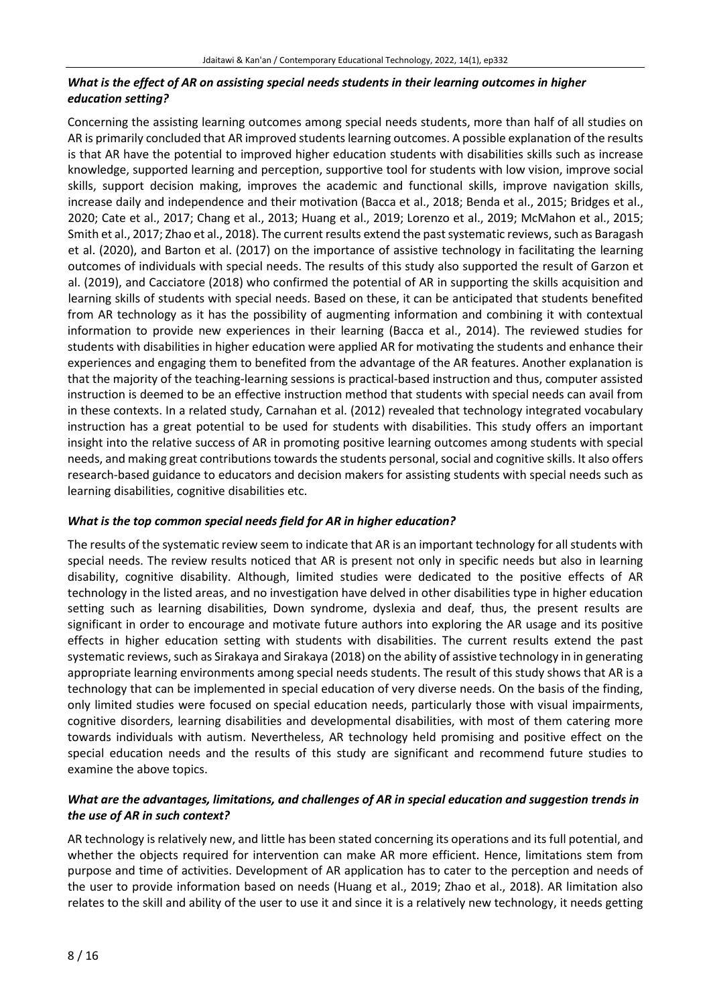# *What is the effect of AR on assisting special needs students in their learning outcomes in higher education setting?*

Concerning the assisting learning outcomes among special needs students, more than half of all studies on AR is primarily concluded that AR improved students learning outcomes. A possible explanation of the results is that AR have the potential to improved higher education students with disabilities skills such as increase knowledge, supported learning and perception, supportive tool for students with low vision, improve social skills, support decision making, improves the academic and functional skills, improve navigation skills, increase daily and independence and their motivation (Bacca et al., 2018; Benda et al., 2015; Bridges et al., 2020; Cate et al., 2017; Chang et al., 2013; Huang et al., 2019; Lorenzo et al., 2019; McMahon et al., 2015; Smith et al., 2017; Zhao et al., 2018). The current results extend the past systematic reviews, such as Baragash et al. (2020), and Barton et al. (2017) on the importance of assistive technology in facilitating the learning outcomes of individuals with special needs. The results of this study also supported the result of Garzon et al. (2019), and Cacciatore (2018) who confirmed the potential of AR in supporting the skills acquisition and learning skills of students with special needs. Based on these, it can be anticipated that students benefited from AR technology as it has the possibility of augmenting information and combining it with contextual information to provide new experiences in their learning (Bacca et al., 2014). The reviewed studies for students with disabilities in higher education were applied AR for motivating the students and enhance their experiences and engaging them to benefited from the advantage of the AR features. Another explanation is that the majority of the teaching-learning sessions is practical-based instruction and thus, computer assisted instruction is deemed to be an effective instruction method that students with special needs can avail from in these contexts. In a related study, Carnahan et al. (2012) revealed that technology integrated vocabulary instruction has a great potential to be used for students with disabilities. This study offers an important insight into the relative success of AR in promoting positive learning outcomes among students with special needs, and making great contributions towards the students personal, social and cognitive skills. It also offers research-based guidance to educators and decision makers for assisting students with special needs such as learning disabilities, cognitive disabilities etc.

# *What is the top common special needs field for AR in higher education?*

The results of the systematic review seem to indicate that AR is an important technology for all students with special needs. The review results noticed that AR is present not only in specific needs but also in learning disability, cognitive disability. Although, limited studies were dedicated to the positive effects of AR technology in the listed areas, and no investigation have delved in other disabilities type in higher education setting such as learning disabilities, Down syndrome, dyslexia and deaf, thus, the present results are significant in order to encourage and motivate future authors into exploring the AR usage and its positive effects in higher education setting with students with disabilities. The current results extend the past systematic reviews, such as Sirakaya and Sirakaya (2018) on the ability of assistive technology in in generating appropriate learning environments among special needs students. The result of this study shows that AR is a technology that can be implemented in special education of very diverse needs. On the basis of the finding, only limited studies were focused on special education needs, particularly those with visual impairments, cognitive disorders, learning disabilities and developmental disabilities, with most of them catering more towards individuals with autism. Nevertheless, AR technology held promising and positive effect on the special education needs and the results of this study are significant and recommend future studies to examine the above topics.

# *What are the advantages, limitations, and challenges of AR in special education and suggestion trends in the use of AR in such context?*

AR technology is relatively new, and little has been stated concerning its operations and its full potential, and whether the objects required for intervention can make AR more efficient. Hence, limitations stem from purpose and time of activities. Development of AR application has to cater to the perception and needs of the user to provide information based on needs (Huang et al., 2019; Zhao et al., 2018). AR limitation also relates to the skill and ability of the user to use it and since it is a relatively new technology, it needs getting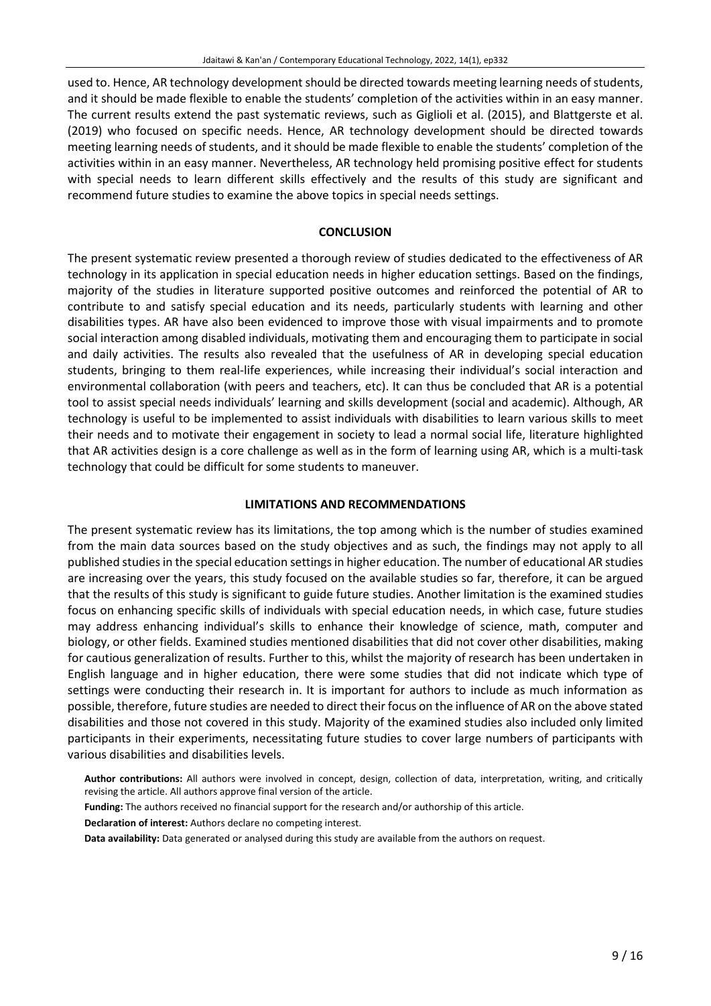used to. Hence, AR technology development should be directed towards meeting learning needs of students, and it should be made flexible to enable the students' completion of the activities within in an easy manner. The current results extend the past systematic reviews, such as Giglioli et al. (2015), and Blattgerste et al. (2019) who focused on specific needs. Hence, AR technology development should be directed towards meeting learning needs of students, and it should be made flexible to enable the students' completion of the activities within in an easy manner. Nevertheless, AR technology held promising positive effect for students with special needs to learn different skills effectively and the results of this study are significant and recommend future studies to examine the above topics in special needs settings.

### **CONCLUSION**

The present systematic review presented a thorough review of studies dedicated to the effectiveness of AR technology in its application in special education needs in higher education settings. Based on the findings, majority of the studies in literature supported positive outcomes and reinforced the potential of AR to contribute to and satisfy special education and its needs, particularly students with learning and other disabilities types. AR have also been evidenced to improve those with visual impairments and to promote social interaction among disabled individuals, motivating them and encouraging them to participate in social and daily activities. The results also revealed that the usefulness of AR in developing special education students, bringing to them real-life experiences, while increasing their individual's social interaction and environmental collaboration (with peers and teachers, etc). It can thus be concluded that AR is a potential tool to assist special needs individuals' learning and skills development (social and academic). Although, AR technology is useful to be implemented to assist individuals with disabilities to learn various skills to meet their needs and to motivate their engagement in society to lead a normal social life, literature highlighted that AR activities design is a core challenge as well as in the form of learning using AR, which is a multi-task technology that could be difficult for some students to maneuver.

#### **LIMITATIONS AND RECOMMENDATIONS**

The present systematic review has its limitations, the top among which is the number of studies examined from the main data sources based on the study objectives and as such, the findings may not apply to all published studies in the special education settings in higher education. The number of educational AR studies are increasing over the years, this study focused on the available studies so far, therefore, it can be argued that the results of this study is significant to guide future studies. Another limitation is the examined studies focus on enhancing specific skills of individuals with special education needs, in which case, future studies may address enhancing individual's skills to enhance their knowledge of science, math, computer and biology, or other fields. Examined studies mentioned disabilities that did not cover other disabilities, making for cautious generalization of results. Further to this, whilst the majority of research has been undertaken in English language and in higher education, there were some studies that did not indicate which type of settings were conducting their research in. It is important for authors to include as much information as possible, therefore, future studies are needed to direct their focus on the influence of AR on the above stated disabilities and those not covered in this study. Majority of the examined studies also included only limited participants in their experiments, necessitating future studies to cover large numbers of participants with various disabilities and disabilities levels.

**Author contributions:** All authors were involved in concept, design, collection of data, interpretation, writing, and critically revising the article. All authors approve final version of the article.

- **Funding:** The authors received no financial support for the research and/or authorship of this article.
- **Declaration of interest:** Authors declare no competing interest.

**Data availability:** Data generated or analysed during this study are available from the authors on request.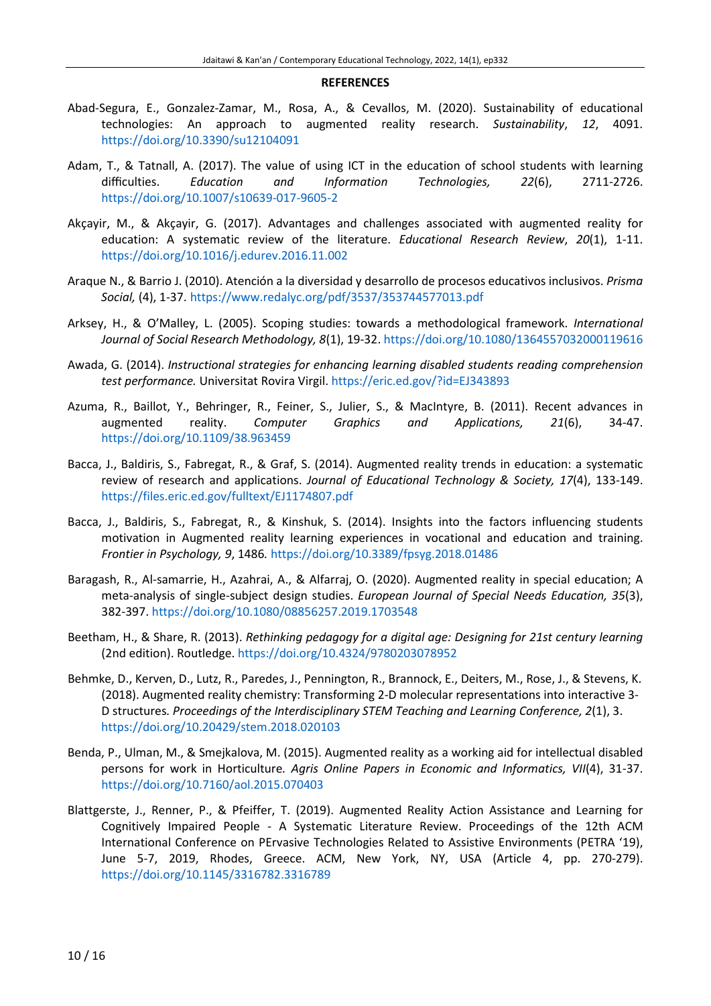#### **REFERENCES**

- Abad-Segura, E., Gonzalez-Zamar, M., Rosa, A., & Cevallos, M. (2020). Sustainability of educational technologies: An approach to augmented reality research. *Sustainability*, *12*, 4091. <https://doi.org/10.3390/su12104091>
- Adam, T., & Tatnall, A. (2017). The value of using ICT in the education of school students with learning difficulties. *Education and Information Technologies, 22*(6), 2711-2726. [https://doi.org/10.1007/s10639-017-9605-2](http://doi.org/10.1007/s10639-017-9605-2)
- Akçayir, M., & Akçayir, G. (2017). Advantages and challenges associated with augmented reality for education: A systematic review of the literature. *Educational Research Review*, *20*(1), 1-11. <https://doi.org/10.1016/j.edurev.2016.11.002>
- Araque N., & Barrio J. (2010). Atención a la diversidad y desarrollo de procesos educativos inclusivos. *Prisma Social,* (4), 1-37. <https://www.redalyc.org/pdf/3537/353744577013.pdf>
- Arksey, H., & O'Malley, L. (2005). Scoping studies: towards a methodological framework. *International Journal of Social Research Methodology, 8*(1), 19-32. [https://doi.org/10.1080/1364557032000119616](http://doi.org/10.1080/1364557032000119616)
- Awada, G. (2014). *Instructional strategies for enhancing learning disabled students reading comprehension test performance.* Universitat Rovira Virgil. <https://eric.ed.gov/?id=EJ343893>
- Azuma, R., Baillot, Y., Behringer, R., Feiner, S., Julier, S., & MacIntyre, B. (2011). Recent advances in augmented reality. *Computer Graphics and Applications, 21*(6), 34-47. [https://doi.org/10.1109/38.963459](http://doi.org/10.1109/38.963459)
- Bacca, J., Baldiris, S., Fabregat, R., & Graf, S. (2014). Augmented reality trends in education: a systematic review of research and applications. *Journal of Educational Technology & Society, 17*(4), 133-149. <https://files.eric.ed.gov/fulltext/EJ1174807.pdf>
- Bacca, J., Baldiris, S., Fabregat, R., & Kinshuk, S. (2014). Insights into the factors influencing students motivation in Augmented reality learning experiences in vocational and education and training. *Frontier in Psychology, 9*, 1486*.* <https://doi.org/10.3389/fpsyg.2018.01486>
- Baragash, R., Al-samarrie, H., Azahrai, A., & Alfarraj, O. (2020). Augmented reality in special education; A meta-analysis of single-subject design studies. *European Journal of Special Needs Education, 35*(3), 382-397. <https://doi.org/10.1080/08856257.2019.1703548>
- Beetham, H., & Share, R. (2013). *Rethinking pedagogy for a digital age: Designing for 21st century learning* (2nd edition). Routledge. <https://doi.org/10.4324/9780203078952>
- Behmke, D., Kerven, D., Lutz, R., Paredes, J., Pennington, R., Brannock, E., Deiters, M., Rose, J., & Stevens, K. (2018). Augmented reality chemistry: Transforming 2-D molecular representations into interactive 3- D structures*. Proceedings of the Interdisciplinary STEM Teaching and Learning Conference, 2*(1), 3. <https://doi.org/10.20429/stem.2018.020103>
- Benda, P., Ulman, M., & Smejkalova, M. (2015). Augmented reality as a working aid for intellectual disabled persons for work in Horticulture*. Agris Online Papers in Economic and Informatics, VII*(4), 31-37. <https://doi.org/10.7160/aol.2015.070403>
- Blattgerste, J., Renner, P., & Pfeiffer, T. (2019). Augmented Reality Action Assistance and Learning for Cognitively Impaired People - A Systematic Literature Review. Proceedings of the 12th ACM International Conference on PErvasive Technologies Related to Assistive Environments (PETRA '19), June 5-7, 2019, Rhodes, Greece. ACM, New York, NY, USA (Article 4, pp. 270-279). <https://doi.org/10.1145/3316782.3316789>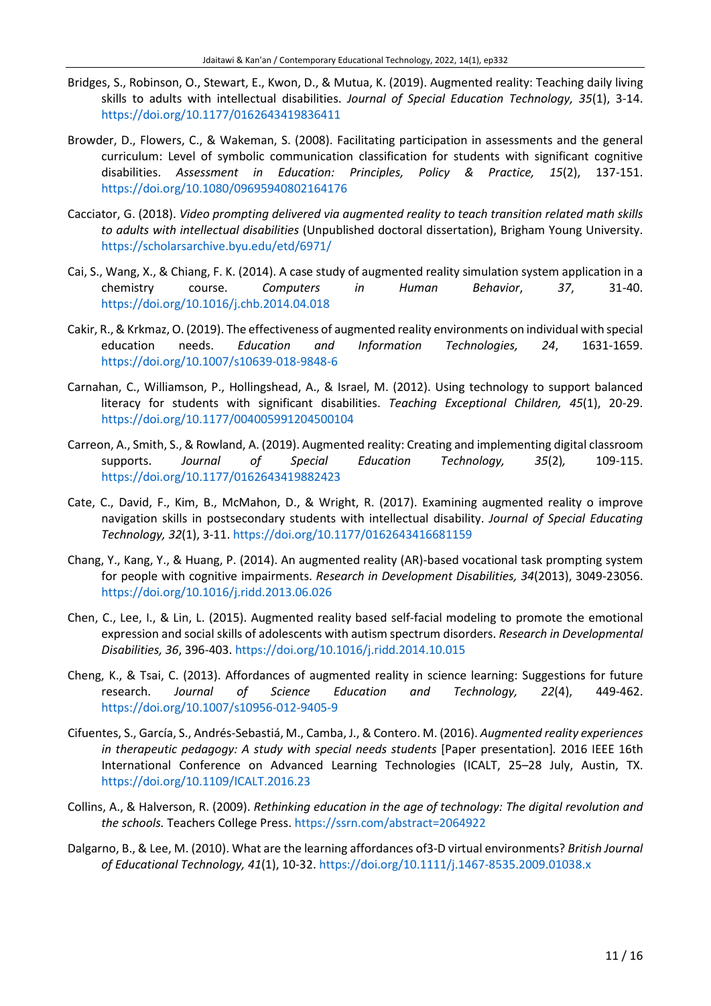- Bridges, S., Robinson, O., Stewart, E., Kwon, D., & Mutua, K. (2019). Augmented reality: Teaching daily living skills to adults with intellectual disabilities. *Journal of Special Education Technology, 35*(1), 3-14. <https://doi.org/10.1177/0162643419836411>
- Browder, D., Flowers, C., & Wakeman, S. (2008). Facilitating participation in assessments and the general curriculum: Level of symbolic communication classification for students with significant cognitive disabilities. *Assessment in Education: Principles, Policy & Practice, 15*(2), 137-151. <https://doi.org/10.1080/09695940802164176>
- Cacciator, G. (2018). *Video prompting delivered via augmented reality to teach transition related math skills to adults with intellectual disabilities* (Unpublished doctoral dissertation), Brigham Young University. <https://scholarsarchive.byu.edu/etd/6971/>
- Cai, S., Wang, X., & Chiang, F. K. (2014). A case study of augmented reality simulation system application in a chemistry course. *Computers in Human Behavior*, *37*, 31-40. <https://doi.org/10.1016/j.chb.2014.04.018>
- Cakir, R.,& Krkmaz,O. (2019). The effectiveness of augmented reality environments on individual with special education needs. *Education and Information Technologies, 24*, 1631-1659. <https://doi.org/10.1007/s10639-018-9848-6>
- Carnahan, C., Williamson, P., Hollingshead, A., & Israel, M. (2012). Using technology to support balanced literacy for students with significant disabilities. *Teaching Exceptional Children, 45*(1), 20-29. <https://doi.org/10.1177/004005991204500104>
- Carreon, A., Smith, S., & Rowland, A. (2019). Augmented reality: Creating and implementing digital classroom supports. *Journal of Special Education Technology, 35*(2)*,* 109-115. <https://doi.org/10.1177/0162643419882423>
- Cate, C., David, F., Kim, B., McMahon, D., & Wright, R. (2017). Examining augmented reality o improve navigation skills in postsecondary students with intellectual disability. *Journal of Special Educating Technology, 32*(1), 3-11. <https://doi.org/10.1177/0162643416681159>
- Chang, Y., Kang, Y., & Huang, P. (2014). An augmented reality (AR)-based vocational task prompting system for people with cognitive impairments. *Research in Development Disabilities, 34*(2013), 3049-23056. <https://doi.org/10.1016/j.ridd.2013.06.026>
- Chen, C., Lee, I., & Lin, L. (2015). Augmented reality based self-facial modeling to promote the emotional expression and social skills of adolescents with autism spectrum disorders. *Research in Developmental Disabilities, 36*, 396-403. <https://doi.org/10.1016/j.ridd.2014.10.015>
- Cheng, K., & Tsai, C. (2013). Affordances of augmented reality in science learning: Suggestions for future research. *Journal of Science Education and Technology, 22*(4), 449-462. <https://doi.org/10.1007/s10956-012-9405-9>
- Cifuentes, S., García, S., Andrés-Sebastiá, M., Camba, J., & Contero. M. (2016). *Augmented reality experiences in therapeutic pedagogy: A study with special needs students* [Paper presentation]*.* 2016 IEEE 16th International Conference on Advanced Learning Technologies (ICALT, 25–28 July, Austin, TX. <https://doi.org/10.1109/ICALT.2016.23>
- Collins, A., & Halverson, R. (2009). *Rethinking education in the age of technology: The digital revolution and the schools.* Teachers College Press. <https://ssrn.com/abstract=2064922>
- Dalgarno, B., & Lee, M. (2010). What are the learning affordances of3-D virtual environments? *British Journal of Educational Technology, 41*(1), 10-32. <https://doi.org/10.1111/j.1467-8535.2009.01038.x>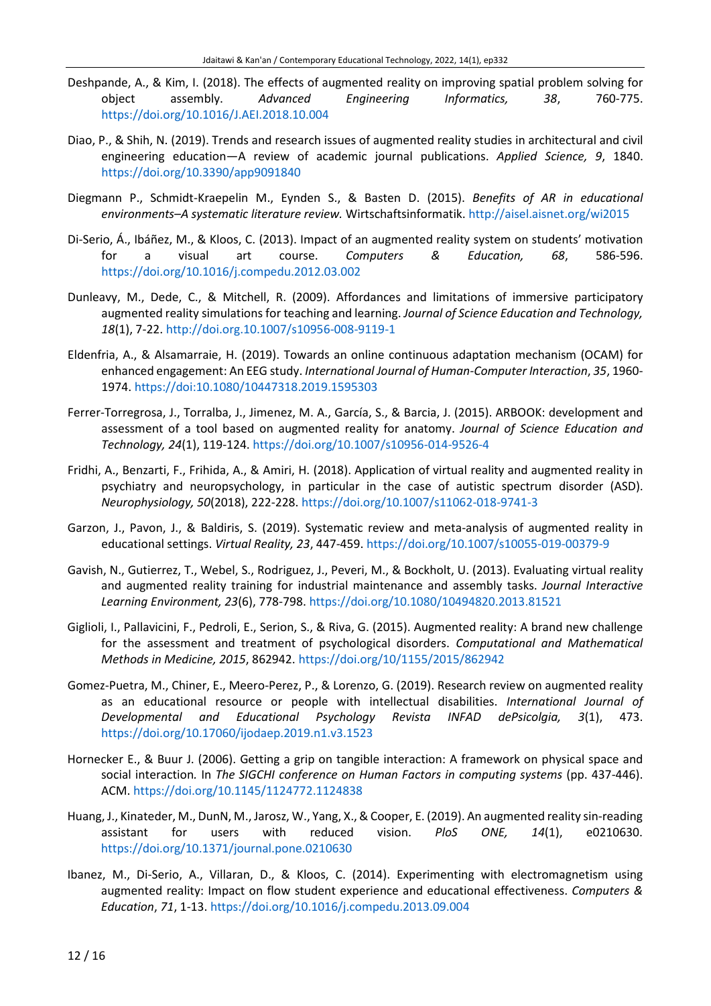- Deshpande, A., & Kim, I. (2018). The effects of augmented reality on improving spatial problem solving for object assembly. *Advanced Engineering Informatics, 38*, 760-775. <https://doi.org/10.1016/J.AEI.2018.10.004>
- Diao, P., & Shih, N. (2019). Trends and research issues of augmented reality studies in architectural and civil engineering education—A review of academic journal publications. *Applied Science, 9*, 1840. <https://doi.org/10.3390/app9091840>
- Diegmann P., Schmidt-Kraepelin M., Eynden S., & Basten D. (2015). *Benefits of AR in educational environments–A systematic literature review.* Wirtschaftsinformatik. <http://aisel.aisnet.org/wi2015>
- Di-Serio, Á., Ibáñez, M., & Kloos, C. (2013). Impact of an augmented reality system on students' motivation for a visual art course. *Computers & Education, 68*, 586-596. <https://doi.org/10.1016/j.compedu.2012.03.002>
- Dunleavy, M., Dede, C., & Mitchell, R. (2009). Affordances and limitations of immersive participatory augmented reality simulations for teaching and learning. *Journal of Science Education and Technology, 18*(1), 7-22. <http://doi.org.10.1007/s10956-008-9119-1>
- Eldenfria, A., & Alsamarraie, H. (2019). Towards an online continuous adaptation mechanism (OCAM) for enhanced engagement: An EEG study. *International Journal of Human-Computer Interaction*, *35*, 1960- 1974. <https://doi:10.1080/10447318.2019.1595303>
- Ferrer-Torregrosa, J., Torralba, J., Jimenez, M. A., García, S., & Barcia, J. (2015). ARBOOK: development and assessment of a tool based on augmented reality for anatomy. *Journal of Science Education and Technology, 24*(1), 119-124. <https://doi.org/10.1007/s10956-014-9526-4>
- Fridhi, A., Benzarti, F., Frihida, A., & Amiri, H. (2018). Application of virtual reality and augmented reality in psychiatry and neuropsychology, in particular in the case of autistic spectrum disorder (ASD). *Neurophysiology, 50*(2018), 222-228. <https://doi.org/10.1007/s11062-018-9741-3>
- Garzon, J., Pavon, J., & Baldiris, S. (2019). Systematic review and meta-analysis of augmented reality in educational settings. *Virtual Reality, 23*, 447-459. <https://doi.org/10.1007/s10055-019-00379-9>
- Gavish, N., Gutierrez, T., Webel, S., Rodriguez, J., Peveri, M., & Bockholt, U. (2013). Evaluating virtual reality and augmented reality training for industrial maintenance and assembly tasks. *Journal Interactive Learning Environment, 23*(6), 778-798. <https://doi.org/10.1080/10494820.2013.81521>
- Giglioli, I., Pallavicini, F., Pedroli, E., Serion, S., & Riva, G. (2015). Augmented reality: A brand new challenge for the assessment and treatment of psychological disorders. *Computational and Mathematical Methods in Medicine, 2015*, 862942. <https://doi.org/10/1155/2015/862942>
- Gomez-Puetra, M., Chiner, E., Meero-Perez, P., & Lorenzo, G. (2019). Research review on augmented reality as an educational resource or people with intellectual disabilities. *International Journal of Developmental and Educational Psychology Revista INFAD dePsicolgia, 3*(1), 473. <https://doi.org/10.17060/ijodaep.2019.n1.v3.1523>
- Hornecker E., & Buur J. (2006). Getting a grip on tangible interaction: A framework on physical space and social interaction*.* In *The SIGCHI conference on Human Factors in computing systems* (pp. 437-446). ACM. <https://doi.org/10.1145/1124772.1124838>
- Huang, J., Kinateder, M., DunN, M., Jarosz, W., Yang, X.,& Cooper, E. (2019). An augmented reality sin-reading assistant for users with reduced vision. *PloS ONE, 14*(1), e0210630. <https://doi.org/10.1371/journal.pone.0210630>
- Ibanez, M., Di-Serio, A., Villaran, D., & Kloos, C. (2014). Experimenting with electromagnetism using augmented reality: Impact on flow student experience and educational effectiveness. *Computers & Education*, *71*, 1-13. <https://doi.org/10.1016/j.compedu.2013.09.004>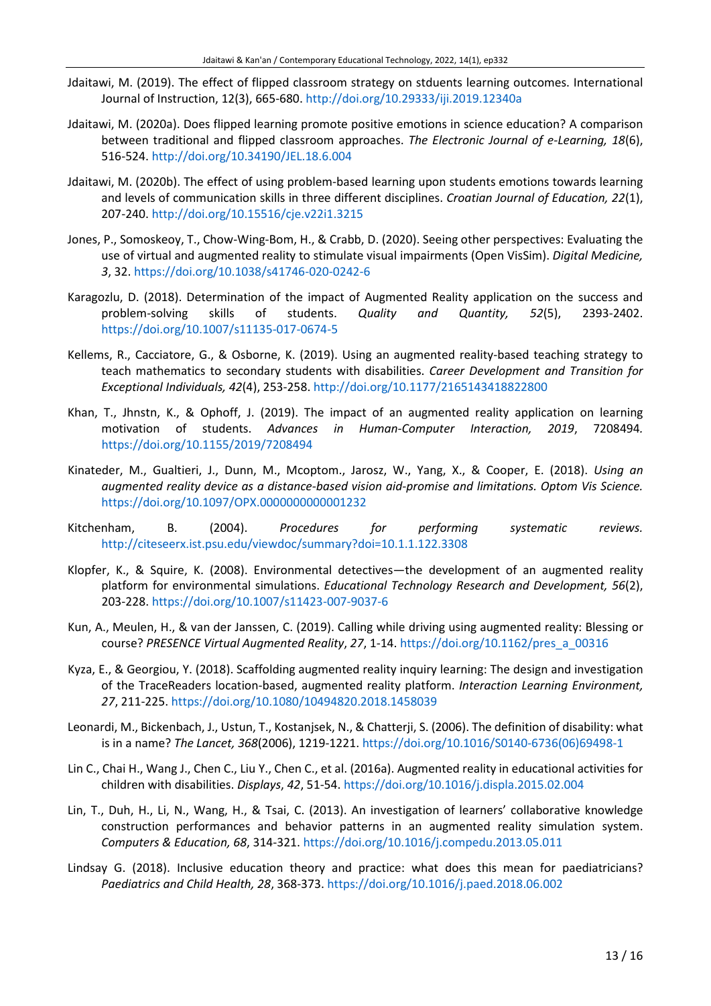- Jdaitawi, M. (2019). The effect of flipped classroom strategy on stduents learning outcomes. International Journal of Instruction, 12(3), 665-680.<http://doi.org/10.29333/iji.2019.12340a>
- Jdaitawi, M. (2020a). Does flipped learning promote positive emotions in science education? A comparison between traditional and flipped classroom approaches. *The Electronic Journal of e-Learning, 18*(6), 516-524.<http://doi.org/10.34190/JEL.18.6.004>
- Jdaitawi, M. (2020b). The effect of using problem-based learning upon students emotions towards learning and levels of communication skills in three different disciplines. *Croatian Journal of Education, 22*(1), 207-240.<http://doi.org/10.15516/cje.v22i1.3215>
- Jones, P., Somoskeoy, T., Chow-Wing-Bom, H., & Crabb, D. (2020). Seeing other perspectives: Evaluating the use of virtual and augmented reality to stimulate visual impairments (Open VisSim). *Digital Medicine, 3*, 32. <https://doi.org/10.1038/s41746-020-0242-6>
- Karagozlu, D. (2018). Determination of the impact of Augmented Reality application on the success and problem-solving skills of students. *Quality and Quantity, 52*(5), 2393-2402. <https://doi.org/10.1007/s11135-017-0674-5>
- Kellems, R., Cacciatore, G., & Osborne, K. (2019). Using an augmented reality-based teaching strategy to teach mathematics to secondary students with disabilities. *Career Development and Transition for Exceptional Individuals, 42*(4), 253-258. <http://doi.org/10.1177/2165143418822800>
- Khan, T., Jhnstn, K., & Ophoff, J. (2019). The impact of an augmented reality application on learning motivation of students. *Advances in Human-Computer Interaction, 2019*, 7208494*.* <https://doi.org/10.1155/2019/7208494>
- Kinateder, M., Gualtieri, J., Dunn, M., Mcoptom., Jarosz, W., Yang, X., & Cooper, E. (2018). *Using an augmented reality device as a distance-based vision aid-promise and limitations. Optom Vis Science.* <https://doi.org/10.1097/OPX.0000000000001232>
- Kitchenham, B. (2004). *Procedures for performing systematic reviews.* <http://citeseerx.ist.psu.edu/viewdoc/summary?doi=10.1.1.122.3308>
- Klopfer, K., & Squire, K. (2008). Environmental detectives—the development of an augmented reality platform for environmental simulations. *Educational Technology Research and Development, 56*(2), 203-228. <https://doi.org/10.1007/s11423-007-9037-6>
- Kun, A., Meulen, H., & van der Janssen, C. (2019). Calling while driving using augmented reality: Blessing or course? *PRESENCE Virtual Augmented Reality*, *27*, 1-14. [https://doi.org/10.1162/pres\\_a\\_00316](https://doi.org/10.1162/pres_a_00316)
- Kyza, E., & Georgiou, Y. (2018). Scaffolding augmented reality inquiry learning: The design and investigation of the TraceReaders location-based, augmented reality platform. *Interaction Learning Environment, 27*, 211-225. <https://doi.org/10.1080/10494820.2018.1458039>
- Leonardi, M., Bickenbach, J., Ustun, T., Kostanjsek, N., & Chatterji, S. (2006). The definition of disability: what is in a name? *The Lancet, 368*(2006), 1219-1221. [https://doi.org/10.1016/S0140-6736\(06\)69498-1](https://doi.org/10.1016/S0140-6736(06)69498-1)
- Lin C., Chai H., Wang J., Chen C., Liu Y., Chen C., et al. (2016a). Augmented reality in educational activities for children with disabilities. *Displays*, *42*, 51-54. <https://doi.org/10.1016/j.displa.2015.02.004>
- Lin, T., Duh, H., Li, N., Wang, H., & Tsai, C. (2013). An investigation of learners' collaborative knowledge construction performances and behavior patterns in an augmented reality simulation system. *Computers & Education, 68*, 314-321. <https://doi.org/10.1016/j.compedu.2013.05.011>
- Lindsay G. (2018). Inclusive education theory and practice: what does this mean for paediatricians? *Paediatrics and Child Health, 28*, 368-373. <https://doi.org/10.1016/j.paed.2018.06.002>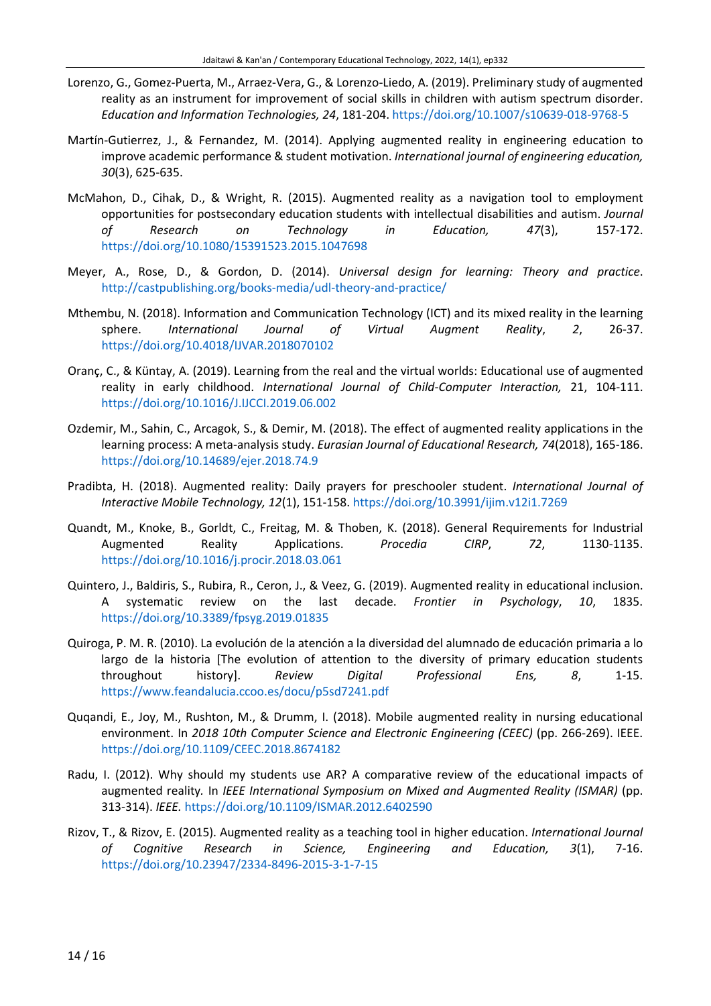- Lorenzo, G., Gomez-Puerta, M., Arraez-Vera, G., & Lorenzo-Liedo, A. (2019). Preliminary study of augmented reality as an instrument for improvement of social skills in children with autism spectrum disorder. *Education and Information Technologies, 24*, 181-204. <https://doi.org/10.1007/s10639-018-9768-5>
- Martín-Gutierrez, J., & Fernandez, M. (2014). Applying augmented reality in engineering education to improve academic performance & student motivation. *International journal of engineering education, 30*(3), 625-635.
- McMahon, D., Cihak, D., & Wright, R. (2015). Augmented reality as a navigation tool to employment opportunities for postsecondary education students with intellectual disabilities and autism. *Journal of Research on Technology in Education, 47*(3), 157-172. <https://doi.org/10.1080/15391523.2015.1047698>
- Meyer, A., Rose, D., & Gordon, D. (2014). *Universal design for learning: Theory and practice*. <http://castpublishing.org/books-media/udl-theory-and-practice/>
- Mthembu, N. (2018). Information and Communication Technology (ICT) and its mixed reality in the learning sphere. *International Journal of Virtual Augment Reality*, *2*, 26-37. <https://doi.org/10.4018/IJVAR.2018070102>
- Oranç, C., & Küntay, A. (2019). Learning from the real and the virtual worlds: Educational use of augmented reality in early childhood. *International Journal of Child-Computer Interaction,* 21, 104-111. <https://doi.org/10.1016/J.IJCCI.2019.06.002>
- Ozdemir, M., Sahin, C., Arcagok, S., & Demir, M. (2018). The effect of augmented reality applications in the learning process: A meta-analysis study. *Eurasian Journal of Educational Research, 74*(2018), 165-186. <https://doi.org/10.14689/ejer.2018.74.9>
- Pradibta, H. (2018). Augmented reality: Daily prayers for preschooler student. *International Journal of Interactive Mobile Technology, 12*(1), 151-158. <https://doi.org/10.3991/ijim.v12i1.7269>
- Quandt, M., Knoke, B., Gorldt, C., Freitag, M. & Thoben, K. (2018). General Requirements for Industrial Augmented Reality Applications. *Procedia CIRP*, *72*, 1130-1135. <https://doi.org/10.1016/j.procir.2018.03.061>
- Quintero, J., Baldiris, S., Rubira, R., Ceron, J., & Veez, G. (2019). Augmented reality in educational inclusion. A systematic review on the last decade. *Frontier in Psychology*, *10*, 1835. <https://doi.org/10.3389/fpsyg.2019.01835>
- Quiroga, P. M. R. (2010). La evolución de la atención a la diversidad del alumnado de educación primaria a lo largo de la historia [The evolution of attention to the diversity of primary education students throughout history]. *Review Digital Professional Ens, 8*, 1-15. <https://www.feandalucia.ccoo.es/docu/p5sd7241.pdf>
- Quqandi, E., Joy, M., Rushton, M., & Drumm, I. (2018). Mobile augmented reality in nursing educational environment. In *2018 10th Computer Science and Electronic Engineering (CEEC)* (pp. 266-269). IEEE. <https://doi.org/10.1109/CEEC.2018.8674182>
- Radu, I. (2012). Why should my students use AR? A comparative review of the educational impacts of augmented reality*.* In *IEEE International Symposium on Mixed and Augmented Reality (ISMAR)* (pp. 313-314). *IEEE.* <https://doi.org/10.1109/ISMAR.2012.6402590>
- Rizov, T., & Rizov, E. (2015). Augmented reality as a teaching tool in higher education. *International Journal of Cognitive Research in Science, Engineering and Education, 3*(1), 7-16. <https://doi.org/10.23947/2334-8496-2015-3-1-7-15>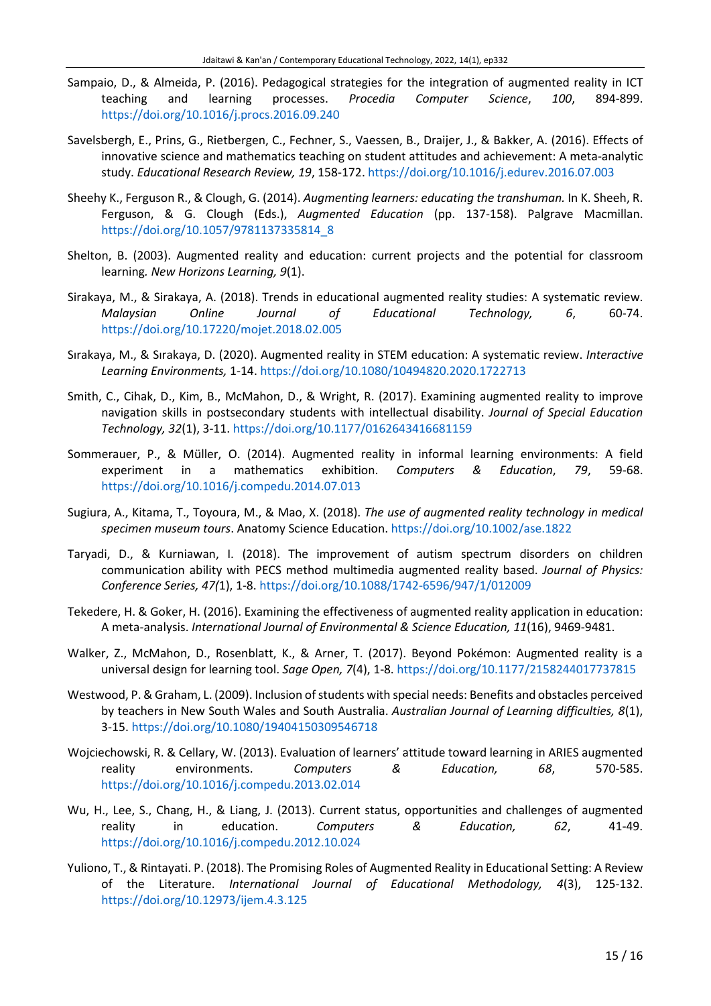- Sampaio, D., & Almeida, P. (2016). Pedagogical strategies for the integration of augmented reality in ICT teaching and learning processes. *Procedia Computer Science*, *100*, 894-899. <https://doi.org/10.1016/j.procs.2016.09.240>
- Savelsbergh, E., Prins, G., Rietbergen, C., Fechner, S., Vaessen, B., Draijer, J., & Bakker, A. (2016). Effects of innovative science and mathematics teaching on student attitudes and achievement: A meta-analytic study. *Educational Research Review, 19*, 158-172. <https://doi.org/10.1016/j.edurev.2016.07.003>
- Sheehy K., Ferguson R., & Clough, G. (2014). *Augmenting learners: educating the transhuman.* In K. Sheeh, R. Ferguson, & G. Clough (Eds.), *Augmented Education* (pp. 137-158). Palgrave Macmillan. [https://doi.org/10.1057/9781137335814\\_8](https://doi.org/10.1057/9781137335814_8)
- Shelton, B. (2003). Augmented reality and education: current projects and the potential for classroom learning*. New Horizons Learning, 9*(1).
- Sirakaya, M., & Sirakaya, A. (2018). Trends in educational augmented reality studies: A systematic review. *Malaysian Online Journal of Educational Technology, 6*, 60-74. <https://doi.org/10.17220/mojet.2018.02.005>
- Sırakaya, M., & Sırakaya, D. (2020). Augmented reality in STEM education: A systematic review. *Interactive Learning Environments,* 1-14. <https://doi.org/10.1080/10494820.2020.1722713>
- Smith, C., Cihak, D., Kim, B., McMahon, D., & Wright, R. (2017). Examining augmented reality to improve navigation skills in postsecondary students with intellectual disability. *Journal of Special Education Technology, 32*(1), 3-11. <https://doi.org/10.1177/0162643416681159>
- Sommerauer, P., & Müller, O. (2014). Augmented reality in informal learning environments: A field experiment in a mathematics exhibition. *Computers & Education*, *79*, 59-68. <https://doi.org/10.1016/j.compedu.2014.07.013>
- Sugiura, A., Kitama, T., Toyoura, M., & Mao, X. (2018). *The use of augmented reality technology in medical specimen museum tours*. Anatomy Science Education. <https://doi.org/10.1002/ase.1822>
- Taryadi, D., & Kurniawan, I. (2018). The improvement of autism spectrum disorders on children communication ability with PECS method multimedia augmented reality based. *Journal of Physics: Conference Series, 47(*1), 1-8. <https://doi.org/10.1088/1742-6596/947/1/012009>
- Tekedere, H. & Goker, H. (2016). Examining the effectiveness of augmented reality application in education: A meta-analysis. *International Journal of Environmental & Science Education, 11*(16), 9469-9481.
- Walker, Z., McMahon, D., Rosenblatt, K., & Arner, T. (2017). Beyond Pokémon: Augmented reality is a universal design for learning tool. *Sage Open, 7*(4), 1-8. <https://doi.org/10.1177/2158244017737815>
- Westwood, P. & Graham, L. (2009). Inclusion of students with special needs: Benefits and obstacles perceived by teachers in New South Wales and South Australia. *Australian Journal of Learning difficulties, 8*(1), 3-15. <https://doi.org/10.1080/19404150309546718>
- Wojciechowski, R. & Cellary, W. (2013). Evaluation of learners' attitude toward learning in ARIES augmented reality environments. *Computers & Education, 68*, 570-585. <https://doi.org/10.1016/j.compedu.2013.02.014>
- Wu, H., Lee, S., Chang, H., & Liang, J. (2013). Current status, opportunities and challenges of augmented reality in education. *Computers & Education, 62*, 41-49. <https://doi.org/10.1016/j.compedu.2012.10.024>
- Yuliono, T., & Rintayati. P. (2018). The Promising Roles of Augmented Reality in Educational Setting: A Review of the Literature. *International Journal of Educational Methodology, 4*(3), 125-132. <https://doi.org/10.12973/ijem.4.3.125>